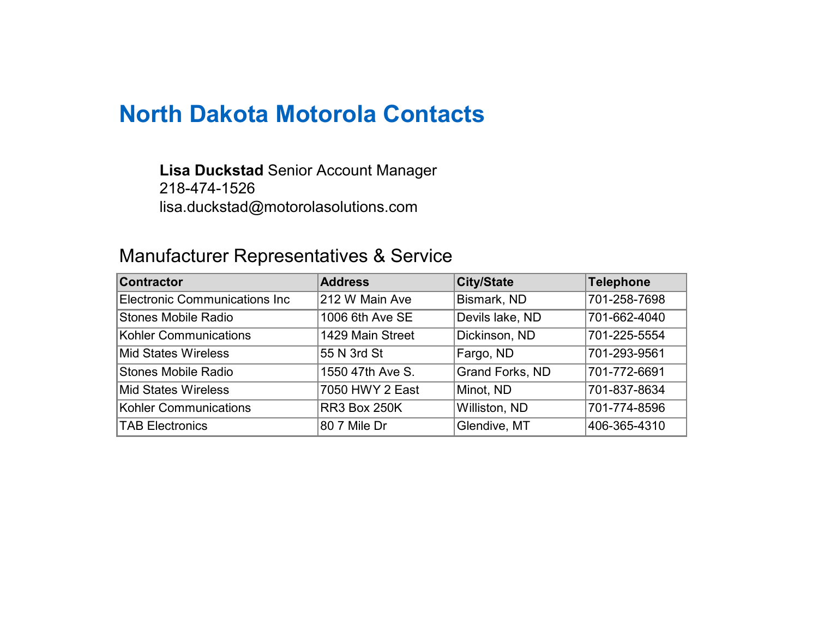# North Dakota Motorola Contacts

## **Lisa Duckstad** Senior Account Manager 218-474-1526 lisa.duckstad@motorolasolutions.com

# Manufacturer Representatives & Service

| <b>Contractor</b>                    | <b>Address</b>      | <b>City/State</b>      | Telephone    |
|--------------------------------------|---------------------|------------------------|--------------|
| <b>Electronic Communications Inc</b> | 212 W Main Ave      | Bismark, ND            | 701-258-7698 |
| <b>Stones Mobile Radio</b>           | 1006 6th Ave SE     | Devils lake, ND        | 701-662-4040 |
| Kohler Communications                | 1429 Main Street    | Dickinson, ND          | 701-225-5554 |
| <b>Mid States Wireless</b>           | 55 N 3rd St         | Fargo, ND              | 701-293-9561 |
| <b>Stones Mobile Radio</b>           | 1550 47th Ave S.    | <b>Grand Forks, ND</b> | 701-772-6691 |
| <b>Mid States Wireless</b>           | 7050 HWY 2 East     | Minot, ND              | 701-837-8634 |
| <b>Kohler Communications</b>         | <b>RR3 Box 250K</b> | Williston, ND          | 701-774-8596 |
| <b>TAB Electronics</b>               | 80 7 Mile Dr        | Glendive, MT           | 406-365-4310 |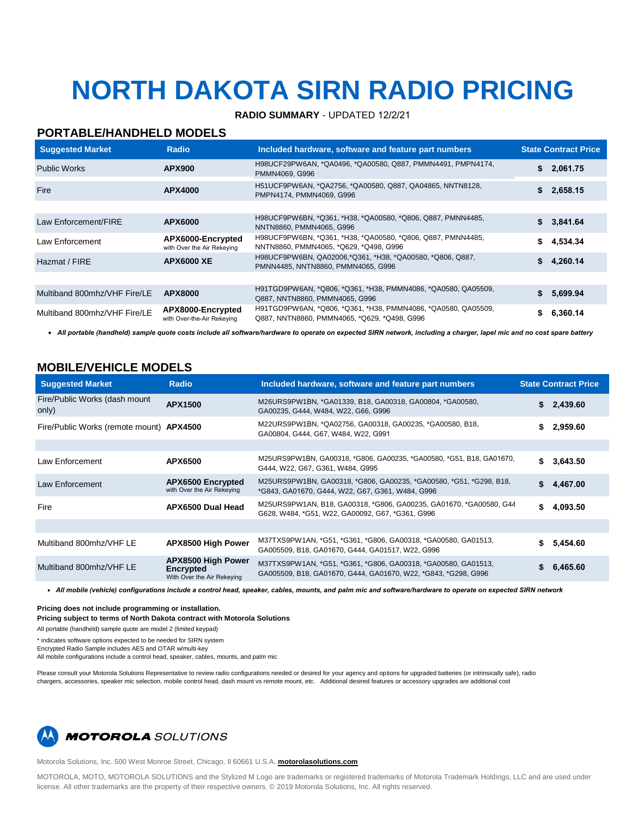# **NORTH DAKOTA SIRN RADIO PRICING**

#### **RADIO SUMMARY** - UPDATED 12/2/21

#### **PORTABLE/HANDHELD MODELS**

| <b>Suggested Market</b>      | Radio                                           | Included hardware, software and feature part numbers                                                          | <b>State Contract Price</b> |
|------------------------------|-------------------------------------------------|---------------------------------------------------------------------------------------------------------------|-----------------------------|
| <b>Public Works</b>          | <b>APX900</b>                                   | H98UCF29PW6AN, *QA0496, *QA00580, Q887, PMMN4491, PMPN4174,<br>PMMN4069, G996                                 | \$2,061.75                  |
| Fire                         | APX4000                                         | H51UCF9PW6AN, *QA2756, *QA00580, Q887, QA04865, NNTN8128,<br>PMPN4174, PMMN4069, G996                         | \$2,658.15                  |
|                              |                                                 |                                                                                                               |                             |
| Law Enforcement/FIRE         | APX6000                                         | H98UCF9PW6BN, *Q361, *H38, *QA00580, *Q806, Q887, PMNN4485,<br>NNTN8860, PMMN4065, G996                       | \$3,841.64                  |
| Law Enforcement              | APX6000-Encrypted<br>with Over the Air Rekeying | H98UCF9PW6BN, *Q361, *H38, *QA00580, *Q806, Q887, PMNN4485,<br>NNTN8860, PMMN4065, *Q629, *Q498, G996         | \$4.534.34                  |
| Hazmat / FIRE                | <b>APX6000 XE</b>                               | H98UCF9PW6BN, QA02006,*Q361, *H38, *QA00580, *Q806, Q887,<br>PMNN4485, NNTN8860, PMMN4065, G996               | \$4,260.14                  |
|                              |                                                 |                                                                                                               |                             |
| Multiband 800mhz/VHF Fire/LE | APX8000                                         | H91TGD9PW6AN, *Q806, *Q361, *H38, PMMN4086, *QA0580, QA05509,<br>Q887, NNTN8860, PMMN4065, G996               | \$5,699.94                  |
| Multiband 800mhz/VHF Fire/LE | APX8000-Encrypted<br>with Over-the-Air Rekeying | H91TGD9PW6AN, *Q806, *Q361, *H38, PMMN4086, *QA0580, QA05509,<br>Q887, NNTN8860, PMMN4065, *Q629, *Q498, G996 | 6.360.14                    |

• *All portable (handheld) sample quote costs include all software/hardware to operate on expected SIRN network, including a charger, lapel mic and no cost spare battery* 

### **MOBILE/VEHICLE MODELS**

| <b>Radio</b>                                                                | Included hardware, software and feature part numbers                                                                            | <b>State Contract Price</b> |  |
|-----------------------------------------------------------------------------|---------------------------------------------------------------------------------------------------------------------------------|-----------------------------|--|
| APX1500                                                                     | M26URS9PW1BN, *GA01339, B18, GA00318, GA00804, *GA00580,<br>GA00235, G444, W484, W22, G66, G996                                 | 2,439.60                    |  |
| Fire/Public Works (remote mount) APX4500                                    | M22URS9PW1BN, *QA02756, GA00318, GA00235, *GA00580, B18,<br>GA00804, G444, G67, W484, W22, G991                                 | \$<br>2,959.60              |  |
|                                                                             |                                                                                                                                 |                             |  |
| <b>APX6500</b>                                                              | M25URS9PW1BN, GA00318, *G806, GA00235, *GA00580, *G51, B18, GA01670,<br>G444, W22, G67, G361, W484, G995                        | 3,643.50                    |  |
| <b>APX6500 Encrypted</b><br>with Over the Air Rekeying                      | M25URS9PW1BN, GA00318, *G806, GA00235, *GA00580, *G51, *G298, B18,<br>*G843, GA01670, G444, W22, G67, G361, W484, G996          | 4.467.00                    |  |
| APX6500 Dual Head                                                           | M25URS9PW1AN, B18, GA00318, *G806, GA00235, GA01670, *GA00580, G44<br>G628, W484, *G51, W22, GA00092, G67, *G361, G996          | \$<br>4,093.50              |  |
|                                                                             |                                                                                                                                 |                             |  |
| <b>APX8500 High Power</b>                                                   | M37TXS9PW1AN, *G51, *G361, *G806, GA00318, *GA00580, GA01513,<br>GA005509, B18, GA01670, G444, GA01517, W22, G996               | 5,454.60                    |  |
| <b>APX8500 High Power</b><br><b>Encrypted</b><br>With Over the Air Rekeying | M37TXS9PW1AN, *G51, *G361, *G806, GA00318, *GA00580, GA01513,<br>GA005509, B18, GA01670, G444, GA01670, W22, *G843, *G298, G996 | 6,465.60                    |  |
|                                                                             |                                                                                                                                 |                             |  |

• *All mobile (vehicle) configurations include a control head, speaker, cables, mounts, and palm mic and software/hardware to operate on expected SIRN network* 

**Pricing does not include programming or installation.** 

**Pricing subject to terms of North Dakota contract with Motorola Solutions** 

All portable (handheld) sample quote are model 2 (limited keypad)

\* indicates software options expected to be needed for SIRN system

Encrypted Radio Sample includes AES and OTAR w/multi-key

All mobile configurations include a control head, speaker, cables, mounts, and palm mic

Please consult your Motorola Solutions Representative to review radio configurations needed or desired for your agency and options for upgraded batteries (or intrinsically safe), radio chargers, accessories, speaker mic selection, mobile control head, dash mount vs remote mount, etc. Additional desired features or accessory upgrades are additional cost



Motorola Solutions, Inc. 500 West Monroe Street, Chicago, Il 60661 U.S.A. **motorolasolutions.com**

MOTOROLA, MOTO, MOTOROLA SOLUTIONS and the Stylized M Logo are trademarks or registered trademarks of Motorola Trademark Holdings, LLC and are used under license. All other trademarks are the property of their respective owners. © 2019 Motorola Solutions, Inc. All rights reserved.